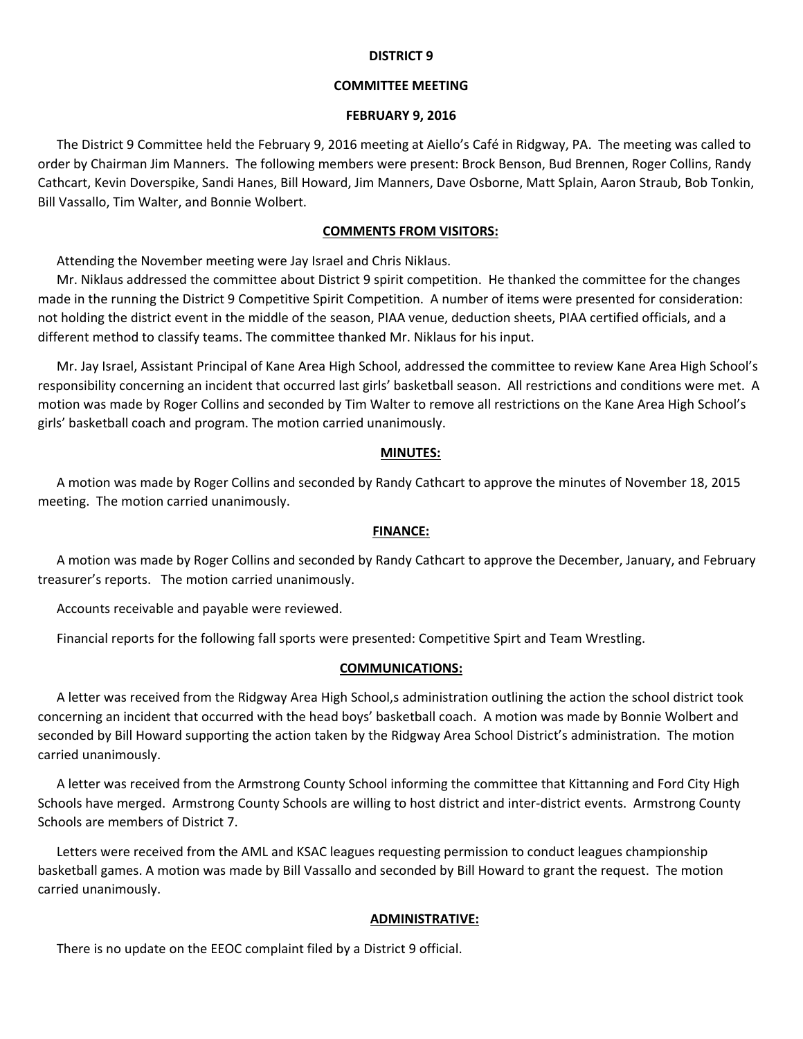#### **DISTRICT 9**

## **COMMITTEE MEETING**

#### **FEBRUARY 9, 2016**

The District 9 Committee held the February 9, 2016 meeting at Aiello's Café in Ridgway, PA. The meeting was called to order by Chairman Jim Manners. The following members were present: Brock Benson, Bud Brennen, Roger Collins, Randy Cathcart, Kevin Doverspike, Sandi Hanes, Bill Howard, Jim Manners, Dave Osborne, Matt Splain, Aaron Straub, Bob Tonkin, Bill Vassallo, Tim Walter, and Bonnie Wolbert.

#### **COMMENTS FROM VISITORS:**

Attending the November meeting were Jay Israel and Chris Niklaus.

Mr. Niklaus addressed the committee about District 9 spirit competition. He thanked the committee for the changes made in the running the District 9 Competitive Spirit Competition. A number of items were presented for consideration: not holding the district event in the middle of the season, PIAA venue, deduction sheets, PIAA certified officials, and a different method to classify teams. The committee thanked Mr. Niklaus for his input.

Mr. Jay Israel, Assistant Principal of Kane Area High School, addressed the committee to review Kane Area High School's responsibility concerning an incident that occurred last girls' basketball season. All restrictions and conditions were met. A motion was made by Roger Collins and seconded by Tim Walter to remove all restrictions on the Kane Area High School's girls' basketball coach and program. The motion carried unanimously.

#### **MINUTES:**

A motion was made by Roger Collins and seconded by Randy Cathcart to approve the minutes of November 18, 2015 meeting. The motion carried unanimously.

#### **FINANCE:**

A motion was made by Roger Collins and seconded by Randy Cathcart to approve the December, January, and February treasurer's reports. The motion carried unanimously.

Accounts receivable and payable were reviewed.

Financial reports for the following fall sports were presented: Competitive Spirt and Team Wrestling.

#### **COMMUNICATIONS:**

A letter was received from the Ridgway Area High School,s administration outlining the action the school district took concerning an incident that occurred with the head boys' basketball coach. A motion was made by Bonnie Wolbert and seconded by Bill Howard supporting the action taken by the Ridgway Area School District's administration. The motion carried unanimously.

A letter was received from the Armstrong County School informing the committee that Kittanning and Ford City High Schools have merged. Armstrong County Schools are willing to host district and inter‐district events. Armstrong County Schools are members of District 7.

Letters were received from the AML and KSAC leagues requesting permission to conduct leagues championship basketball games. A motion was made by Bill Vassallo and seconded by Bill Howard to grant the request. The motion carried unanimously.

### **ADMINISTRATIVE:**

There is no update on the EEOC complaint filed by a District 9 official.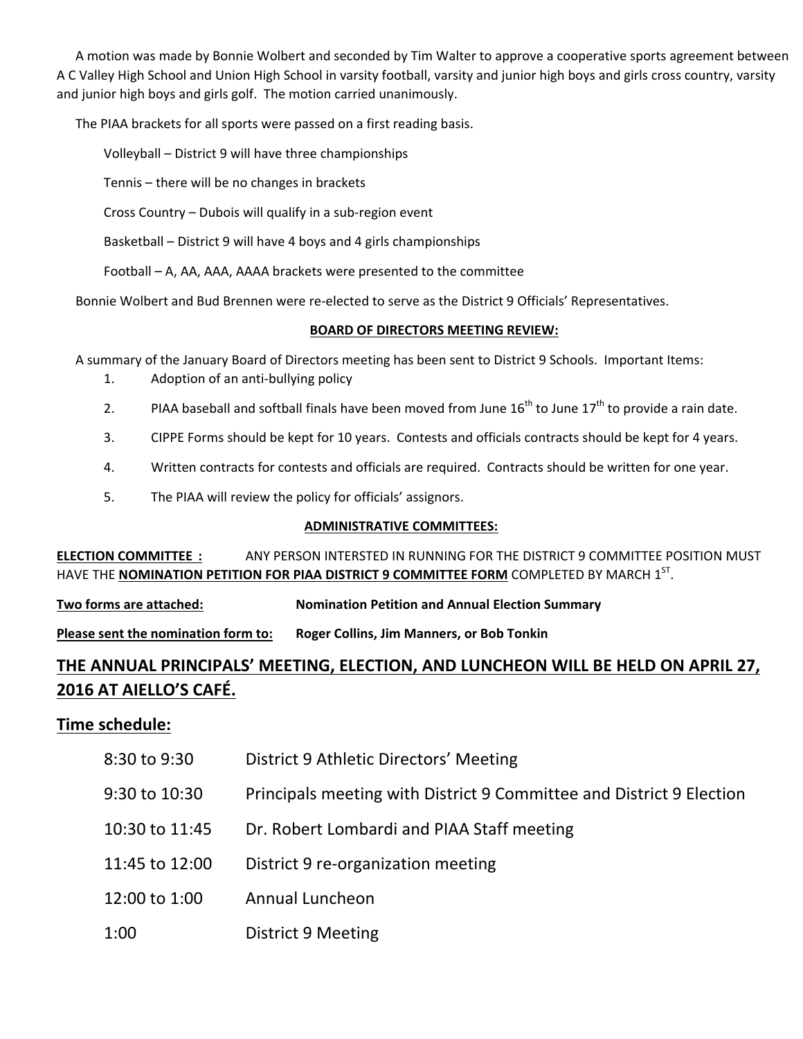A motion was made by Bonnie Wolbert and seconded by Tim Walter to approve a cooperative sports agreement between A C Valley High School and Union High School in varsity football, varsity and junior high boys and girls cross country, varsity and junior high boys and girls golf. The motion carried unanimously.

The PIAA brackets for all sports were passed on a first reading basis.

Volleyball – District 9 will have three championships

Tennis – there will be no changes in brackets

Cross Country – Dubois will qualify in a sub‐region event

Basketball – District 9 will have 4 boys and 4 girls championships

Football – A, AA, AAA, AAAA brackets were presented to the committee

Bonnie Wolbert and Bud Brennen were re‐elected to serve as the District 9 Officials' Representatives.

# **BOARD OF DIRECTORS MEETING REVIEW:**

A summary of the January Board of Directors meeting has been sent to District 9 Schools. Important Items:

- 1. Adoption of an anti-bullying policy
- 2. PIAA baseball and softball finals have been moved from June  $16^{th}$  to June  $17^{th}$  to provide a rain date.
- 3. CIPPE Forms should be kept for 10 years. Contests and officials contracts should be kept for 4 years.
- 4. Written contracts for contests and officials are required. Contracts should be written for one year.
- 5. The PIAA will review the policy for officials' assignors.

# **ADMINISTRATIVE COMMITTEES:**

**ELECTION COMMITTEE :** ANY PERSON INTERSTED IN RUNNING FOR THE DISTRICT 9 COMMITTEE POSITION MUST HAVE THE **NOMINATION PETITION FOR PIAA DISTRICT 9 COMMITTEE FORM** COMPLETED BY MARCH 1ST.

**Two forms are attached: Nomination Petition and Annual Election Summary**

**Please sent the nomination form to: Roger Collins, Jim Manners, or Bob Tonkin**

# **THE ANNUAL PRINCIPALS' MEETING, ELECTION, AND LUNCHEON WILL BE HELD ON APRIL 27, 2016 AT AIELLO'S CAFÉ.**

# **Time schedule:**

- 8:30 to 9:30 District 9 Athletic Directors' Meeting
- 9:30 to 10:30 Principals meeting with District 9 Committee and District 9 Election
- 10:30 to 11:45 Dr. Robert Lombardi and PIAA Staff meeting
- 11:45 to 12:00 District 9 re‐organization meeting
- 12:00 to 1:00 Annual Luncheon
- 1:00 District 9 Meeting